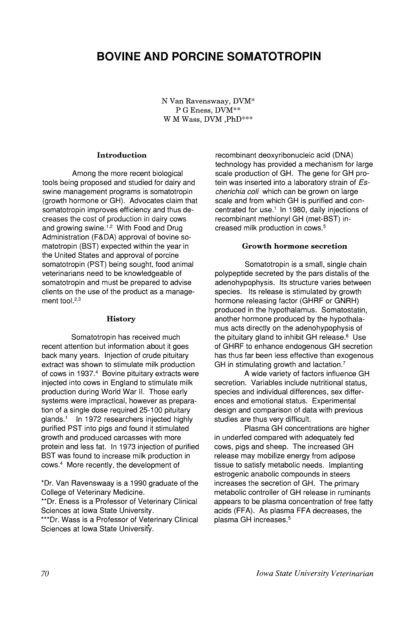# BOVINE AND PORCINE SOMATOTROPIN

N Van Ravenswaay, DVM\* P G Eness, DVM\*\* W M Wass, DVM ,PhD\*\*\*

## Introduction

Among the more recent biological tools being proposed and studied for dairy and swine management programs is somatotropin (growth hormone or GH). Advocates claim that somatotropin improves efficiency and thus decreases the cost of production in dairy cows and growing swine.<sup>1,2</sup> With Food and Drug Administration (F&DA) approval of bovine somatotropin (SST) expected within the year in the United States and approval of porcine somatotropin (PST) being sought, food animal veterinarians need to be knowledgeable of somatotropin and must be prepared to advise clients on the use of the product as a management tool.<sup>2,3</sup>

#### **History**

Somatotropin has received much recent attention but information about it goes back many years. Injection of crude pituitary extract was shown to stimulate milk production of cows in 1937.<sup>4</sup> Bovine pituitary extracts were injected into cows in England to stimulate milk production during World War II. Those early systems were impractical, however as preparation of a single dose required 25-100 pituitary glands.<sup>1</sup> In 1972 researchers injected highly purified PST into pigs and found it stimulated growth and produced carcasses with more protein and less fat. In 1973 injection of purified BST was found to increase milk production in cows.<sup>4</sup> More recently, the development of

\*Dr. Van Ravenswaay is a 1990 graduate of the College of Veterinary Medicine.

\*\*Dr. Eness is a Professor of Veterinary Clinical Sciences at Iowa State University.

\*\*\*Dr. Wass is a Professor of Veterinary Clinical Sciences at Iowa State University.

recombinant deoxyribonucleic acid (DNA) technology has provided a mechanism for large scale production of GH. The gene for GH protein was inserted into a laboratory strain of Escherichia coli which can be grown on large scale and from which GH is purified and concentrated for use. $<sup>1</sup>$  In 1980, daily injections of</sup> recombinant methionyl GH (met-SST) increased milk production in cows.<sup>5</sup>

#### Growth hormone secretion

Somatotropin is a small, single chain polypeptide secreted by the pars distalis of the adenohypophysis. Its structure varies between species. Its release is stimulated by growth hormone releasing factor (GHRF or GNRH) produced in the hypothalamus. Somatostatin, another hormone produced by the hypothalamus acts directly on the adenohypophysis of the pituitary gland to inhibit GH release.<sup>6</sup> Use of GHRF to enhance endogenous GH secretion has thus far been less effective than exogenous GH in stimulating growth and lactation.?

A wide variety of factors influence GH secretion. Variables include nutritional status, species and individual differences, sex differences and emotional status. Experimental design and comparison of data with previous studies are thus very difficult.

Plasma GH concentrations are higher in underfed compared with adequately fed cows, pigs and sheep. The increased GH release may mobilize energy from adipose tissue to satisfy metabolic needs. Implanting estrogenic anabolic compounds in steers increases the secretion of GH. The primary metabolic controller of GH release in ruminants appears to be plasma concentration of free fatty acids (FFA). As plasma FFA decreases, the plasma GH increases.<sup>5</sup>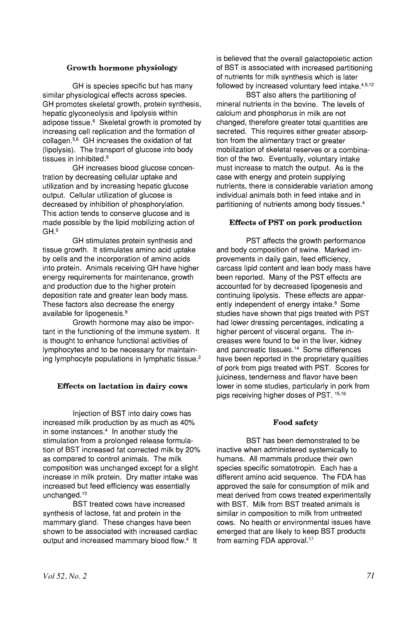## Growth hormone physiology

GH is species specific but has many similar physiological effects across species. GH promotes skeletal growth, protein synthesis, hepatic glyconeolysis and lipolysis within adipose tissue.<sup>6</sup> Skeletal growth is promoted by increasing cell replication and the formation of collagen. $5,6$  GH increases the oxidation of fat (lipolysis). The transport of glucose into body tissues in inhibited.<sup>5</sup>

GH increases blood glucose concentration by decreasing cellular uptake and utilization and by increasing hepatic glucose output. Cellular utilization of glucose is decreased by inhibition of phosphorylation. This action tends to conserve glucose and is made possible by the lipid mobilizing action of GH.<sup>6</sup>

GH stimulates protein synthesis and tissue growth. It stimulates amino acid uptake by cells and the incorporation of amino acids into protein. Animals receiving GH have higher energy requirements for maintenance, growth and production due to the higher protein deposition rate and greater lean body mass. These factors also decrease the energy available for lipogenesis.<sup>8</sup>

Growth hormone may also be important in the functioning of the immune system. It is thought to enhance functional activities of lymphocytes and to be necessary for maintaining lymphocyte populations in lymphatic tissue. <sup>2</sup>

## Effects on lactation in dairy cows

Injection of SST into dairy cows has increased milk production by as much as 40% in some instances.<sup>4</sup> In another study the stimulation from a prolonged release formulation of SST increased fat corrected milk by 20% as compared to control animals. The milk composition was unchanged except for a slight increase in milk protein. Dry matter intake was increased but feed efficiency was essentially unchanged.<sup>10</sup>

BST treated cows have increased synthesis of lactose, fat and protein in the mammary gland. These changes have been shown to be associated with increased cardiac output and increased mammary blood flow.<sup>4</sup> It is believed that the overall galactopoietic action of SST is associated with increased partitioning of nutrients for milk synthesis which is later followed by increased voluntary feed intake.<sup>4,5,12</sup>

BST also alters the partitioning of mineral nutrients in the bovine. The levels of calcium and phosphorus in milk are not changed, therefore greater total quantities are secreted. This requires either greater absorption from the alimentary tract or greater mobilization of skeletal reserves or a combination of the two. Eventually, voluntary intake must increase to match the output. As is the case with energy and protein supplying nutrients, there is considerable variation among individual animals both in feed intake and in partitioning of nutrients among body tissues.<sup>4</sup>

## Effects of PST on pork production

PST affects the growth performance and body composition of swine. Marked improvements in daily gain, feed efficiency, carcass lipid content and lean body mass have been reported. Many of the PST effects are accounted for by decreased lipogenesis and continuing lipolysis. These effects are apparently independent of energy intake.<sup>8</sup> Some studies have shown that pigs treated with PST had lower dressing percentages, indicating a higher percent of visceral organs. The increases were found to be in the liver, kidney and pancreatic tissues. <sup>14</sup> Some differences have been reported in the proprietary qualities of pork from pigs treated with PST. Scores for juiciness, tenderness and flavor have been lower in some studies, particularly in pork from pigs receiving higher doses of PST. 15,16

## Food safety

BST has been demonstrated to be inactive when administered systemically to humans. All mammals produce their own species specific somatotropin. Each has·a different amino acid sequence. The FDA has approved the sale for consumption of milk and meat derived from cows treated experimentally with BST. Milk from BST treated animals is similar in composition to milk from untreated cows. No health or environmental issues have emerged that are likely to keep SST products from earning FDA approval.<sup>17</sup>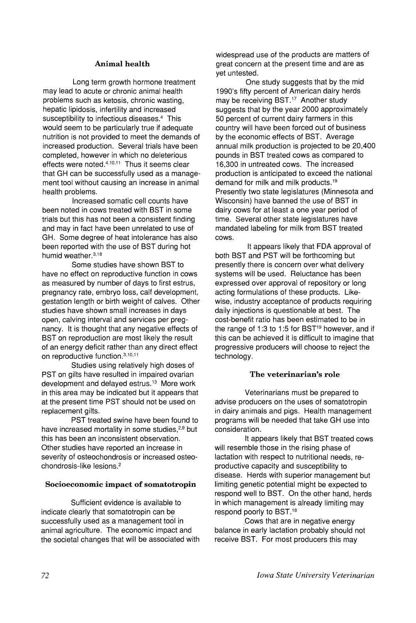# Animal health

Long term growth hormone treatment may lead to acute or chronic animal health problems such as ketosis, chronic wasting, hepatic lipidosis, infertility and increased susceptibility to infectious diseases.<sup>4</sup> This would seem to be particularly true if adequate nutrition is not provided to meet the demands of increased production. Several trials have been completed, however in which no deleterious effects were noted.<sup>4,10,11</sup> Thus it seems clear that GH can be successfully used as a management tool without causing an increase in animal health problems.

Increased somatic cell counts have been noted in cows treated with BST in some trials but this has not been a consistent finding and may in fact have been unrelated to use of GH. Some degree of heat intolerance has also been reported with the use of BST during hot humid weather.3,18

Some studies have shown BST to have no effect on reproductive function in cows as measured by number of days to first estrus, pregnancy rate, ernbryo loss, calf development, gestation length or birth weight of calves. Other studies have shown small increases in days open, calving interval and services per pregnancy. It is thought that any negative effects of BST on reproduction are most likely the result of an energy deficit rather than any direct effect on reproductive function.3,10,11

Studies using relatively high doses of PST on gilts have resulted in impaired ovarian development and delayed estrus.<sup>13</sup> More work in this area may be indicated but it appears that at the present time PST should not be used on replacement gilts.

PST treated swine have been found to have increased mortality in some studies,<sup>2,9</sup> but this has been an inconsistent observation. Other studies have reported an increase in severity of osteochondrosis or increased osteochondrosis-like lesions.<sup>2</sup>

#### Socioeconomic impact of somatotropin

Sufficient evidence is available to indicate clearly that somatotropin can be successfully used as a management tool in animal agriculture. The economic impact and the societal changes that will be associated with widespread use of the products are matters of great concern at the present time and are as yet untested.

One study suggests that by the mid 1990's fifty percent of American dairy herds may be receiving BST.<sup>17</sup> Another study suggests that by the year 2000 approximately 50 percent of current dairy farmers in this country will have been forced out of business by the economic effects of BST. Average annual milk production is projected to be 20,400 pounds in BST treated cows as compared to 16,300 in untreated cows. The increased production is anticipated to exceed the national demand for milk and milk products.19 Presently two state legislatures (Minnesota and Wisconsin) have banned the use of BST in dairy cows for at least a one year period of time. Several other state legislatures have mandated labeling for milk from BST treated cows.

It appears likely that FDA approval of both BST and PST will be forthcoming but presently there is concern over what delivery systems will be used. Reluctance has been expressed over approval of repository or long acting formulations of these products. Likewise, industry acceptance of products requiring daily injections is questionable at best. The cost-benefit ratio has been estimated to be in the range of 1:3 to 1:5 for BST $19$  however, and if this can be achieved it is difficult to imagine that progressive producers will choose to reject the technology.

#### The veterinarian's role

Veterinarians must be prepared to advise producers on the uses of somatotropin in dairy animals and pigs. Health management programs will be needed that take GH use into consideration.

It appears likely that BST treated cows will resemble those in the rising phase of lactation with respect to nutritional needs, reproductive capacity and susceptibility to disease. Herds with superior management but limiting,genetic potential might be expected to respond well to BST. On the other hand, herds in which management is already limiting may respond poorly to BST.18

,Cows that are in negative energy balance in early lactation probably should not receive BST. For most producers this may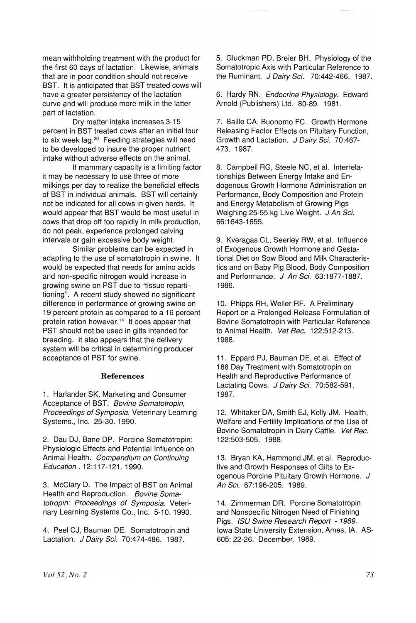mean withholding treatment with the product for the first 60 days of lactation. Likewise, animals that are in poor condition should not receive BST. It is anticipated that BST treated cows will have a greater persistency of the lactation curve and will produce more milk in the latter part of lactation.

Dry matter intake increases 3-15 percent in BST treated cows after an initial four to six week lag.<sup>20</sup> Feeding strategies will need to be developed to insure the proper nutrient intake without adverse effects on the animal.

If mammary capacity is a limiting factor it may be necessary to use three or more milkings per day to realize the beneficial effects of BST in individual animals. BST will certainly not be indicated for all cows in given herds. It would appear that BST would be most useful in cows that drop off too rapidly in milk production, do not peak, experience prolonged calving intervals or gain excessive body weight.

Similar problems can be expected in adapting to the use of somatotropin in swine. It would be expected that needs for amino acids and non-specific nitrogen would increase in growing swine on PST due to "tissue repartitioning". A recent study showed no significant difference in performance of growing swine on 19 percent protein as compared to a 16 percent protein ration however.<sup>14</sup> It does appear that PST should not be used in gilts intended for breeding. It also appears that the delivery system will be critical in determining producer acceptance of PST for swine.

#### References

1. Harlander SK, Marketing and Consumer Acceptance of BST. Bovine Somatotropin, Proceedings of Symposia, Veterinary learning Systems., Inc. 25-30. 1990.

2. Dau OJ, Bane DP. Porcine Somatotropin: Physiologic Effects and Potential Influence on Animal Health. Compendium on Continuing Education. 12:117-121. 1990.

3. McClary D. The Impact of BST on Animal Health and Reproduction. Bovine Somatotropin: Proceedings of Symposia. Veterinary learning Systems Co., Inc. 5-10. 1990.

4. Peel CJ, Bauman DE. Somatotropin and Lactation. J Dairy Sci. 70:474-486. 1987.

5. Gluckman PO, Breier BH. Physiology of the Somatotropic Axis with Particular Reference to the Ruminant. J Dairy Sci. 70:442-466. 1987.

6. Hardy RN. Endocrine Physiology. Edward Arnold (Publishers) Ltd. 80-89. 1981.

7. Bailie CA, Buonomo FC. Growth Hormone Releasing Factor Effects on Pituitary Function, Growth and Lactation. J Dairy Sci. 70:467-473. 1987.

8. Campbell RG, Steele NC, et al. Interrelationships Between Energy Intake and Endogenous Growth Hormone Administration on Performance, Body Composition and Protein and Energy Metabolism of Growing Pigs Weighing 25-55 kg Live Weight. J An Sci. 66:1643-1655.

9. Kveragas Cl, Seerley RW, et al. Influence of Exogenous Growth Hormone and Gestational Diet on Sow Blood and Milk Characteristics and on Baby Pig Blood, Body Composition and Performance. J An Sci. 63:1877-1887. 1986.

10. Phipps RH, Weller RF. A Preliminary Report on a Prolonged Release Formulation of Bovine Somatotropin with Particular Reference to Animal Health. Vet Rec. 122:512-213. 1988.

11. Eppard PJ, Bauman DE, et al. Effect of 188 Day Treatment with Somatotropin on Health and Reproductive Performance of Lactating Cows. J Dairy Sci. 70:582-591. 1987.

12. Whitaker DA, Smith EJ, Kelly JM. Health, Welfare and Fertility Implications of the Use of Bovine Somatotropin in Dairy Cattle. Vet Rec. 122:503-505. 1988.

13. Bryan KA, Hammond JM, et al. Reproductive and Growth Responses of Gilts to Exogenous Porcine Pituitary Growth Hormone. J An Sci. 67:196-205. 1989.

14. Zimmerman DR. Porcine Somatotropin and Nonspecific Nitrogen Need of Finishing Pigs. ISU Swine Research Report - 1989. Iowa State University Extension, Ames, IA. AS-605: 22-26. December, 1989.